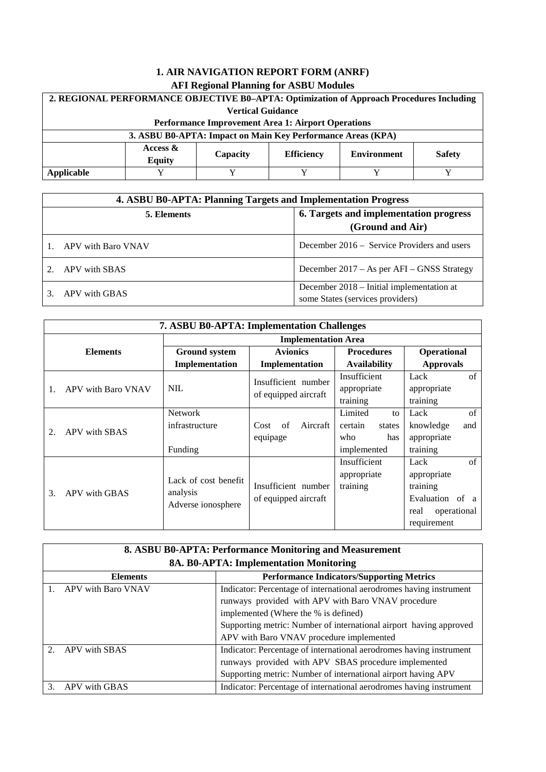| 2. REGIONAL PERFORMANCE OBJECTIVE B0-APTA: Optimization of Approach Procedures Including             |                                                    |  |  |  |  |  |
|------------------------------------------------------------------------------------------------------|----------------------------------------------------|--|--|--|--|--|
|                                                                                                      | <b>Vertical Guidance</b>                           |  |  |  |  |  |
|                                                                                                      | Performance Improvement Area 1: Airport Operations |  |  |  |  |  |
| 3. ASBU B0-APTA: Impact on Main Key Performance Areas (KPA)                                          |                                                    |  |  |  |  |  |
| Access $\&$<br><b>Efficiency</b><br><b>Environment</b><br><b>Safety</b><br>Capacity<br><b>Equity</b> |                                                    |  |  |  |  |  |
| Applicable                                                                                           |                                                    |  |  |  |  |  |

| 4. ASBU B0-APTA: Planning Targets and Implementation Progress |                                                                               |  |  |
|---------------------------------------------------------------|-------------------------------------------------------------------------------|--|--|
| 5. Elements                                                   | 6. Targets and implementation progress<br>(Ground and Air)                    |  |  |
| APV with Baro VNAV                                            | December 2016 – Service Providers and users                                   |  |  |
| APV with SBAS                                                 | December 2017 – As per AFI – GNSS Strategy                                    |  |  |
| APV with GBAS                                                 | December 2018 – Initial implementation at<br>some States (services providers) |  |  |

| <b>7. ASBU B0-APTA: Implementation Challenges</b> |                                                        |                                             |                                                                 |                                                                                                        |  |  |
|---------------------------------------------------|--------------------------------------------------------|---------------------------------------------|-----------------------------------------------------------------|--------------------------------------------------------------------------------------------------------|--|--|
|                                                   | <b>Implementation Area</b>                             |                                             |                                                                 |                                                                                                        |  |  |
| <b>Elements</b>                                   | <b>Ground system</b>                                   | <b>Avionics</b>                             | <b>Procedures</b>                                               | Operational                                                                                            |  |  |
|                                                   | Implementation<br>Implementation                       |                                             | <b>Availability</b>                                             | <b>Approvals</b>                                                                                       |  |  |
| APV with Baro VNAV                                | <b>NIL</b>                                             | Insufficient number<br>of equipped aircraft | Insufficient<br>appropriate<br>training                         | of<br>Lack<br>appropriate<br>training                                                                  |  |  |
| APV with SBAS<br>2.                               | <b>Network</b><br>infrastructure<br>Funding            | $\sigma$ f<br>Aircraft<br>Cost<br>equipage  | Limited<br>to<br>certain<br>states<br>who<br>has<br>implemented | of<br>Lack<br>knowledge<br>and<br>appropriate<br>training                                              |  |  |
| 3.<br>APV with GBAS                               | Lack of cost benefit<br>analysis<br>Adverse ionosphere | Insufficient number<br>of equipped aircraft | Insufficient<br>appropriate<br>training                         | $\sigma$ f<br>Lack<br>appropriate<br>training<br>Evaluation of a<br>operational<br>real<br>requirement |  |  |

| 8. ASBU B0-APTA: Performance Monitoring and Measurement |                                                                     |  |  |  |
|---------------------------------------------------------|---------------------------------------------------------------------|--|--|--|
|                                                         | 8A. B0-APTA: Implementation Monitoring                              |  |  |  |
| <b>Elements</b>                                         | <b>Performance Indicators/Supporting Metrics</b>                    |  |  |  |
| APV with Baro VNAV                                      | Indicator: Percentage of international aerodromes having instrument |  |  |  |
|                                                         | runways provided with APV with Baro VNAV procedure                  |  |  |  |
|                                                         | implemented (Where the % is defined)                                |  |  |  |
|                                                         | Supporting metric: Number of international airport having approved  |  |  |  |
|                                                         | APV with Baro VNAV procedure implemented                            |  |  |  |
| APV with SBAS<br>$\mathcal{D}$                          | Indicator: Percentage of international aerodromes having instrument |  |  |  |
|                                                         | runways provided with APV SBAS procedure implemented                |  |  |  |
|                                                         | Supporting metric: Number of international airport having APV       |  |  |  |
| APV with GBAS<br>$\mathcal{F}$                          | Indicator: Percentage of international aerodromes having instrument |  |  |  |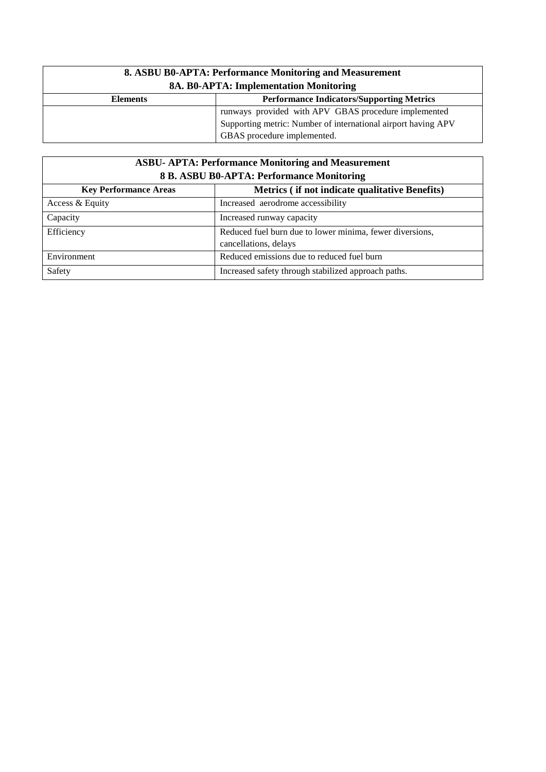| 8. ASBU B0-APTA: Performance Monitoring and Measurement<br>8A. B0-APTA: Implementation Monitoring |  |  |  |
|---------------------------------------------------------------------------------------------------|--|--|--|
| <b>Performance Indicators/Supporting Metrics</b><br><b>Elements</b>                               |  |  |  |
| runways provided with APV GBAS procedure implemented                                              |  |  |  |
| Supporting metric: Number of international airport having APV                                     |  |  |  |
| GBAS procedure implemented.                                                                       |  |  |  |

# **ASBU- APTA: Performance Monitoring and Measurement 8 B. ASBU B0-APTA: Performance Monitoring**

| <b>Key Performance Areas</b>                                  | Metrics (if not indicate qualitative Benefits)           |  |  |  |
|---------------------------------------------------------------|----------------------------------------------------------|--|--|--|
| Access & Equity                                               | Increased aerodrome accessibility                        |  |  |  |
| Capacity                                                      | Increased runway capacity                                |  |  |  |
| Efficiency                                                    | Reduced fuel burn due to lower minima, fewer diversions, |  |  |  |
|                                                               | cancellations, delays                                    |  |  |  |
| Environment                                                   | Reduced emissions due to reduced fuel burn               |  |  |  |
| Safety<br>Increased safety through stabilized approach paths. |                                                          |  |  |  |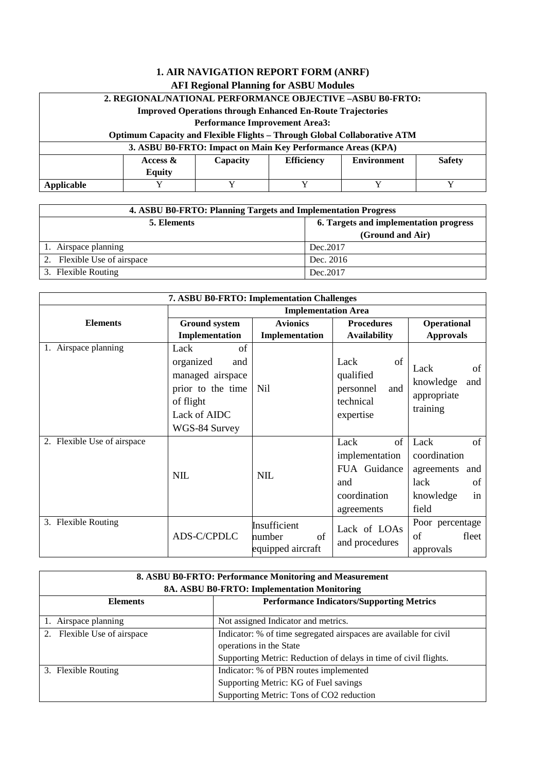# **2. REGIONAL/NATIONAL PERFORMANCE OBJECTIVE –ASBU B0-FRTO:**

**Improved Operations through Enhanced En-Route Trajectories**

**Performance Improvement Area3:** 

### **Optimum Capacity and Flexible Flights – Through Global Collaborative ATM**

| 3. ASBU B0-FRTO: Impact on Main Key Performance Areas (KPA) |                                                                                               |  |  |  |  |
|-------------------------------------------------------------|-----------------------------------------------------------------------------------------------|--|--|--|--|
|                                                             | <b>Safety</b><br><b>Efficiency</b><br>Capacity<br><b>Environment</b><br>Access $\&$<br>Equity |  |  |  |  |
| Applicable                                                  |                                                                                               |  |  |  |  |

| 4. ASBU B0-FRTO: Planning Targets and Implementation Progress |                  |  |  |
|---------------------------------------------------------------|------------------|--|--|
| 6. Targets and implementation progress<br>5. Elements         |                  |  |  |
|                                                               | (Ground and Air) |  |  |
| 1. Airspace planning                                          | Dec. 2017        |  |  |
| 2. Flexible Use of airspace                                   | Dec. 2016        |  |  |
| 3. Flexible Routing                                           | Dec. 2017        |  |  |

| 7. ASBU B0-FRTO: Implementation Challenges         |                                |                                                   |                                                                     |                                                                                  |  |  |
|----------------------------------------------------|--------------------------------|---------------------------------------------------|---------------------------------------------------------------------|----------------------------------------------------------------------------------|--|--|
|                                                    | <b>Implementation Area</b>     |                                                   |                                                                     |                                                                                  |  |  |
| <b>Elements</b>                                    | <b>Ground system</b>           | <b>Avionics</b>                                   | <b>Procedures</b>                                                   | <b>Operational</b><br><b>Approvals</b>                                           |  |  |
|                                                    | Implementation                 | Implementation                                    | <b>Availability</b>                                                 |                                                                                  |  |  |
| Airspace planning                                  | Lack<br>of<br>organized<br>and |                                                   | Lack<br>of<br>qualified                                             | Lack<br>of                                                                       |  |  |
| managed airspace<br>prior to the time<br>of flight |                                | Nil                                               | and<br>personnel<br>technical                                       | knowledge<br>and<br>appropriate<br>training                                      |  |  |
|                                                    | Lack of AIDC<br>WGS-84 Survey  |                                                   | expertise                                                           |                                                                                  |  |  |
| 2. Flexible Use of airspace                        | <b>NIL</b>                     | <b>NIL</b>                                        | Lack<br>of<br>implementation<br>FUA Guidance<br>and<br>coordination | Lack<br>of<br>coordination<br>agreements<br>and<br>lack<br>of<br>in<br>knowledge |  |  |
|                                                    |                                |                                                   | agreements                                                          | field                                                                            |  |  |
| 3. Flexible Routing                                | ADS-C/CPDLC                    | Insufficient<br>of<br>number<br>equipped aircraft | Lack of LOAs<br>and procedures                                      | Poor percentage<br>of<br>fleet<br>approvals                                      |  |  |

| 8. ASBU B0-FRTO: Performance Monitoring and Measurement<br>8A. ASBU B0-FRTO: Implementation Monitoring                      |                                        |  |  |
|-----------------------------------------------------------------------------------------------------------------------------|----------------------------------------|--|--|
| <b>Performance Indicators/Supporting Metrics</b><br><b>Elements</b>                                                         |                                        |  |  |
| 1. Airspace planning                                                                                                        | Not assigned Indicator and metrics.    |  |  |
| Indicator: % of time segregated airspaces are available for civil<br>2. Flexible Use of airspace<br>operations in the State |                                        |  |  |
| Supporting Metric: Reduction of delays in time of civil flights.                                                            |                                        |  |  |
| 3. Flexible Routing                                                                                                         | Indicator: % of PBN routes implemented |  |  |
|                                                                                                                             | Supporting Metric: KG of Fuel savings  |  |  |
| Supporting Metric: Tons of CO2 reduction                                                                                    |                                        |  |  |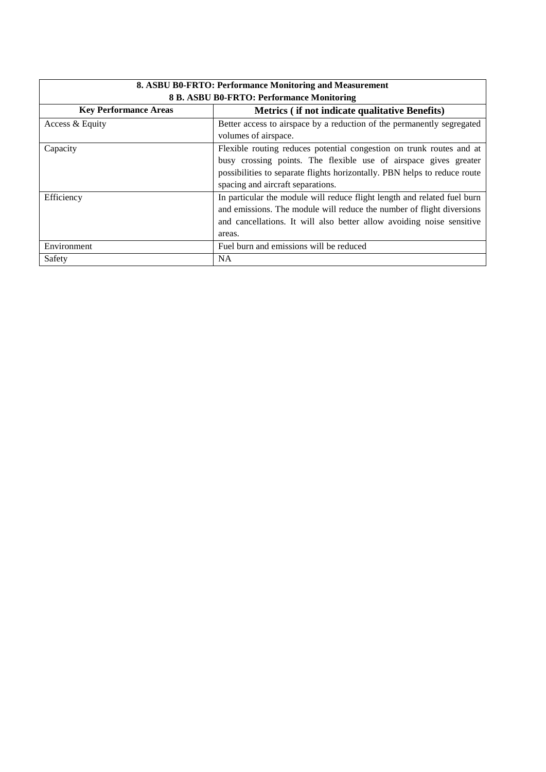| 8. ASBU B0-FRTO: Performance Monitoring and Measurement                        |                                                                           |  |  |  |
|--------------------------------------------------------------------------------|---------------------------------------------------------------------------|--|--|--|
| 8 B. ASBU B0-FRTO: Performance Monitoring                                      |                                                                           |  |  |  |
| Metrics (if not indicate qualitative Benefits)<br><b>Key Performance Areas</b> |                                                                           |  |  |  |
| Access & Equity                                                                | Better access to airspace by a reduction of the permanently segregated    |  |  |  |
|                                                                                | volumes of airspace.                                                      |  |  |  |
| Capacity                                                                       | Flexible routing reduces potential congestion on trunk routes and at      |  |  |  |
|                                                                                | busy crossing points. The flexible use of airspace gives greater          |  |  |  |
|                                                                                | possibilities to separate flights horizontally. PBN helps to reduce route |  |  |  |
|                                                                                | spacing and aircraft separations.                                         |  |  |  |
| Efficiency                                                                     | In particular the module will reduce flight length and related fuel burn  |  |  |  |
|                                                                                | and emissions. The module will reduce the number of flight diversions     |  |  |  |
|                                                                                | and cancellations. It will also better allow avoiding noise sensitive     |  |  |  |
|                                                                                | areas.                                                                    |  |  |  |
| Environment                                                                    | Fuel burn and emissions will be reduced                                   |  |  |  |
| Safety                                                                         | <b>NA</b>                                                                 |  |  |  |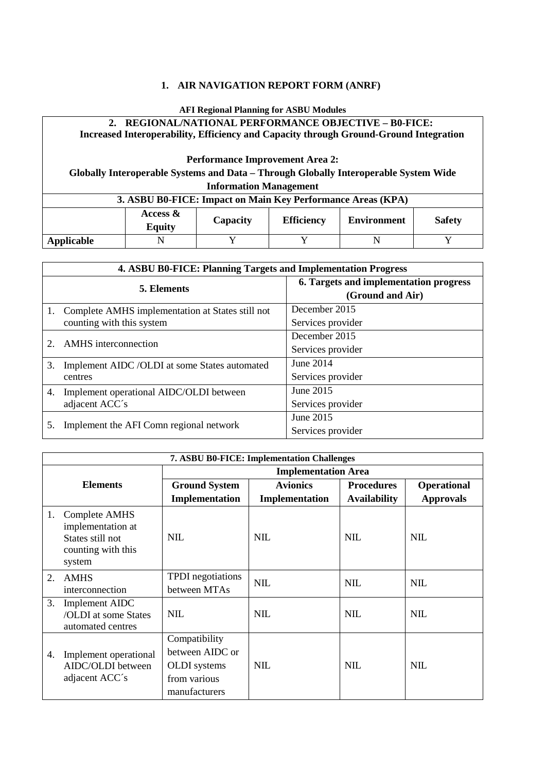### **1. AIR NAVIGATION REPORT FORM (ANRF)**

#### **AFI Regional Planning for ASBU Modules**

## **2. REGIONAL/NATIONAL PERFORMANCE OBJECTIVE – B0-FICE: Increased Interoperability, Efficiency and Capacity through Ground-Ground Integration**

#### **Performance Improvement Area 2:**

## **Globally Interoperable Systems and Data – Through Globally Interoperable System Wide Information Management**

#### **3. ASBU B0-FICE: Impact on Main Key Performance Areas (KPA)**

|            | Access &<br><b>Equity</b> | Capacity | <b>Efficiency</b> | <b>Environment</b> | <b>Safety</b> |
|------------|---------------------------|----------|-------------------|--------------------|---------------|
| Applicable |                           |          |                   |                    |               |

|    | 4. ASBU B0-FICE: Planning Targets and Implementation Progress |                                                            |  |  |
|----|---------------------------------------------------------------|------------------------------------------------------------|--|--|
|    | <b>5. Elements</b>                                            | 6. Targets and implementation progress<br>(Ground and Air) |  |  |
|    | 1. Complete AMHS implementation at States still not           | December 2015                                              |  |  |
|    | counting with this system                                     | Services provider                                          |  |  |
|    | <b>AMHS</b> interconnection                                   | December 2015                                              |  |  |
| 2. |                                                               | Services provider                                          |  |  |
| 3. | Implement AIDC /OLDI at some States automated                 | June $2014$                                                |  |  |
|    | centres                                                       | Services provider                                          |  |  |
| 4. | Implement operational AIDC/OLDI between                       | June 2015                                                  |  |  |
|    | adjacent ACC's                                                | Services provider                                          |  |  |
|    |                                                               | June 2015                                                  |  |  |
| 5. | Implement the AFI Comn regional network                       | Services provider                                          |  |  |

|                            | 7. ASBU B0-FICE: Implementation Challenges                                             |                                                                                          |                 |                     |                    |  |
|----------------------------|----------------------------------------------------------------------------------------|------------------------------------------------------------------------------------------|-----------------|---------------------|--------------------|--|
| <b>Implementation Area</b> |                                                                                        |                                                                                          |                 |                     |                    |  |
|                            | <b>Elements</b>                                                                        | <b>Ground System</b>                                                                     | <b>Avionics</b> | <b>Procedures</b>   | <b>Operational</b> |  |
|                            |                                                                                        | Implementation                                                                           | Implementation  | <b>Availability</b> | <b>Approvals</b>   |  |
| 1.                         | Complete AMHS<br>implementation at<br>States still not<br>counting with this<br>system | <b>NIL</b>                                                                               | <b>NIL</b>      | <b>NIL</b>          | <b>NIL</b>         |  |
| 2.                         | <b>AMHS</b><br>interconnection                                                         | <b>TPDI</b> negotiations<br>between MTAs                                                 | <b>NIL</b>      | <b>NIL</b>          | <b>NIL</b>         |  |
| 3.                         | Implement AIDC<br>/OLDI at some States<br>automated centres                            | <b>NIL</b>                                                                               | <b>NIL</b>      | <b>NIL</b>          | <b>NIL</b>         |  |
| 4.                         | Implement operational<br>AIDC/OLDI between<br>adjacent ACC's                           | Compatibility<br>between AIDC or<br><b>OLDI</b> systems<br>from various<br>manufacturers | <b>NIL</b>      | <b>NIL</b>          | <b>NIL</b>         |  |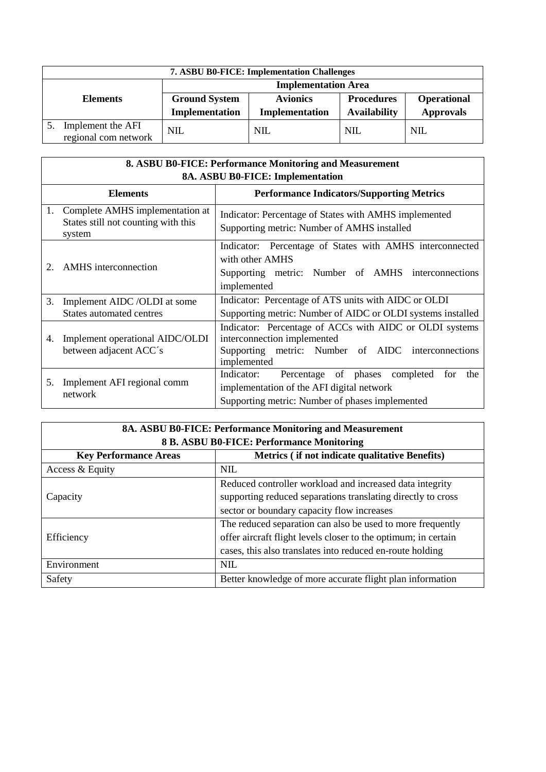|                 | 7. ASBU B0-FICE: Implementation Challenges |                            |                 |                     |                    |  |
|-----------------|--------------------------------------------|----------------------------|-----------------|---------------------|--------------------|--|
| <b>Elements</b> |                                            | <b>Implementation Area</b> |                 |                     |                    |  |
|                 |                                            | <b>Ground System</b>       | <b>Avionics</b> | <b>Procedures</b>   | <b>Operational</b> |  |
|                 |                                            | Implementation             | Implementation  | <b>Availability</b> | <b>Approvals</b>   |  |
|                 | Implement the AFI<br>regional com network  | <b>NIL</b>                 | <b>NIL</b>      | <b>NIL</b>          | <b>NIL</b>         |  |

|    | 8. ASBU B0-FICE: Performance Monitoring and Measurement                             |                                                                                                                                                             |  |  |
|----|-------------------------------------------------------------------------------------|-------------------------------------------------------------------------------------------------------------------------------------------------------------|--|--|
|    | 8A. ASBU B0-FICE: Implementation                                                    |                                                                                                                                                             |  |  |
|    | <b>Elements</b>                                                                     | <b>Performance Indicators/Supporting Metrics</b>                                                                                                            |  |  |
|    | 1. Complete AMHS implementation at<br>States still not counting with this<br>system | Indicator: Percentage of States with AMHS implemented<br>Supporting metric: Number of AMHS installed                                                        |  |  |
| 2. | <b>AMHS</b> interconnection                                                         | Indicator: Percentage of States with AMHS interconnected<br>with other AMHS<br>Supporting metric: Number of AMHS interconnections<br>implemented            |  |  |
| 3. | Implement AIDC /OLDI at some<br><b>States automated centres</b>                     | Indicator: Percentage of ATS units with AIDC or OLDI<br>Supporting metric: Number of AIDC or OLDI systems installed                                         |  |  |
| 4. | Implement operational AIDC/OLDI<br>between adjacent ACC's                           | Indicator: Percentage of ACCs with AIDC or OLDI systems<br>interconnection implemented<br>Supporting metric: Number of AIDC interconnections<br>implemented |  |  |
| 5. | Implement AFI regional comm<br>network                                              | Indicator:<br>Percentage of phases completed for<br>the<br>implementation of the AFI digital network<br>Supporting metric: Number of phases implemented     |  |  |

| 8A. ASBU B0-FICE: Performance Monitoring and Measurement |                                                                |  |  |
|----------------------------------------------------------|----------------------------------------------------------------|--|--|
|                                                          | 8 B. ASBU B0-FICE: Performance Monitoring                      |  |  |
| <b>Key Performance Areas</b>                             | Metrics (if not indicate qualitative Benefits)                 |  |  |
| Access & Equity                                          | <b>NIL</b>                                                     |  |  |
|                                                          | Reduced controller workload and increased data integrity       |  |  |
| Capacity                                                 | supporting reduced separations translating directly to cross   |  |  |
|                                                          | sector or boundary capacity flow increases                     |  |  |
|                                                          | The reduced separation can also be used to more frequently     |  |  |
| Efficiency                                               | offer aircraft flight levels closer to the optimum; in certain |  |  |
|                                                          | cases, this also translates into reduced en-route holding      |  |  |
| Environment<br><b>NIL</b>                                |                                                                |  |  |
| Safety                                                   | Better knowledge of more accurate flight plan information      |  |  |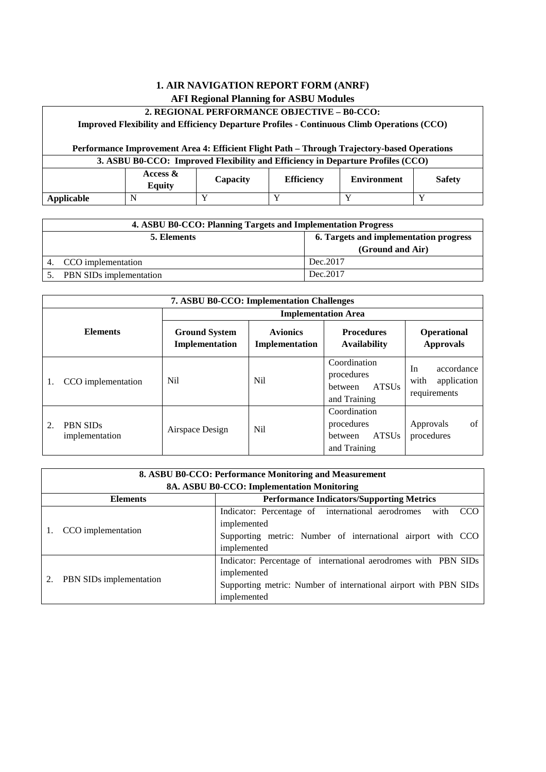#### **2. REGIONAL PERFORMANCE OBJECTIVE – B0-CCO:**

**Improved Flexibility and Efficiency Departure Profiles - Continuous Climb Operations (CCO)**

# **Performance Improvement Area 4: Efficient Flight Path – Through Trajectory-based Operations**

| 3. ASBU B0-CCO: Improved Flexibility and Efficiency in Departure Profiles (CCO) |                                                                                               |  |  |  |  |
|---------------------------------------------------------------------------------|-----------------------------------------------------------------------------------------------|--|--|--|--|
|                                                                                 | Access $\&$<br><b>Efficiency</b><br><b>Safety</b><br><b>Environment</b><br>Capacity<br>Equity |  |  |  |  |
| Applicable                                                                      |                                                                                               |  |  |  |  |

| 4. ASBU B0-CCO: Planning Targets and Implementation Progress |                                                            |  |  |
|--------------------------------------------------------------|------------------------------------------------------------|--|--|
| 5. Elements                                                  | 6. Targets and implementation progress<br>(Ground and Air) |  |  |
| CCO implementation                                           | Dec.2017                                                   |  |  |
| PBN SIDs implementation                                      | Dec. 2017                                                  |  |  |

| <b>7. ASBU B0-CCO: Implementation Challenges</b> |                                        |                                   |                                                                       |                                                         |
|--------------------------------------------------|----------------------------------------|-----------------------------------|-----------------------------------------------------------------------|---------------------------------------------------------|
|                                                  |                                        |                                   | <b>Implementation Area</b>                                            |                                                         |
| <b>Elements</b>                                  | <b>Ground System</b><br>Implementation | <b>Avionics</b><br>Implementation | <b>Procedures</b><br><b>Availability</b>                              | <b>Operational</b><br><b>Approvals</b>                  |
| CCO implementation<br>1.                         | Ni1                                    | N <sub>i</sub>                    | Coordination<br>procedures<br><b>ATSUs</b><br>between<br>and Training | In<br>accordance<br>application<br>with<br>requirements |
| 2.<br><b>PBN SIDs</b><br>implementation          | Airspace Design                        | N <sub>i</sub>                    | Coordination<br>procedures<br><b>ATSUs</b><br>between<br>and Training | of<br>Approvals<br>procedures                           |

|  | 8. ASBU B0-CCO: Performance Monitoring and Measurement              |                                                                         |  |  |  |
|--|---------------------------------------------------------------------|-------------------------------------------------------------------------|--|--|--|
|  |                                                                     | 8A. ASBU B0-CCO: Implementation Monitoring                              |  |  |  |
|  | <b>Performance Indicators/Supporting Metrics</b><br><b>Elements</b> |                                                                         |  |  |  |
|  |                                                                     | Indicator: Percentage of international aerodromes<br><b>CCO</b><br>with |  |  |  |
|  | CCO implementation                                                  | implemented                                                             |  |  |  |
|  |                                                                     | Supporting metric: Number of international airport with CCO             |  |  |  |
|  |                                                                     | implemented                                                             |  |  |  |
|  | PBN SIDs implementation                                             | Indicator: Percentage of international aerodromes with PBN SIDs         |  |  |  |
|  |                                                                     | implemented                                                             |  |  |  |
|  |                                                                     | Supporting metric: Number of international airport with PBN SIDs        |  |  |  |
|  |                                                                     | implemented                                                             |  |  |  |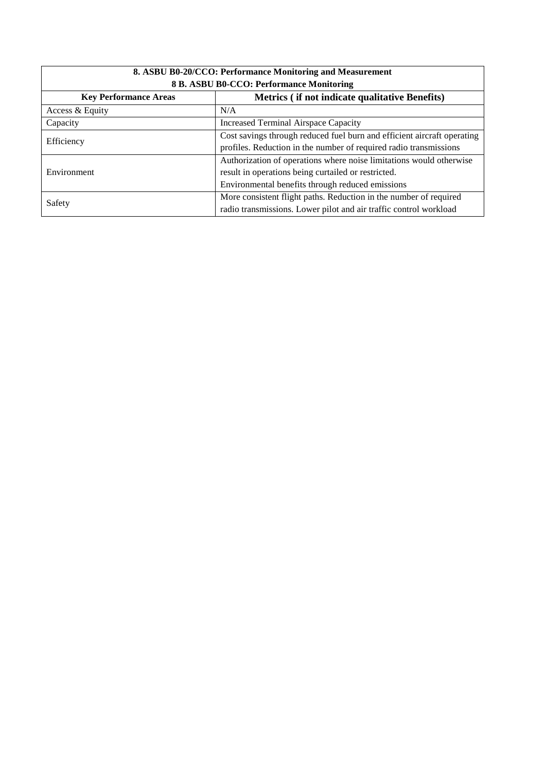| 8. ASBU B0-20/CCO: Performance Monitoring and Measurement                      |                                                                         |  |  |  |
|--------------------------------------------------------------------------------|-------------------------------------------------------------------------|--|--|--|
|                                                                                | 8 B. ASBU B0-CCO: Performance Monitoring                                |  |  |  |
| Metrics (if not indicate qualitative Benefits)<br><b>Key Performance Areas</b> |                                                                         |  |  |  |
| Access & Equity                                                                | N/A                                                                     |  |  |  |
| <b>Increased Terminal Airspace Capacity</b><br>Capacity                        |                                                                         |  |  |  |
|                                                                                | Cost savings through reduced fuel burn and efficient aircraft operating |  |  |  |
| Efficiency                                                                     | profiles. Reduction in the number of required radio transmissions       |  |  |  |
|                                                                                | Authorization of operations where noise limitations would otherwise     |  |  |  |
| Environment                                                                    | result in operations being curtailed or restricted.                     |  |  |  |
|                                                                                | Environmental benefits through reduced emissions                        |  |  |  |
| Safety                                                                         | More consistent flight paths. Reduction in the number of required       |  |  |  |
|                                                                                | radio transmissions. Lower pilot and air traffic control workload       |  |  |  |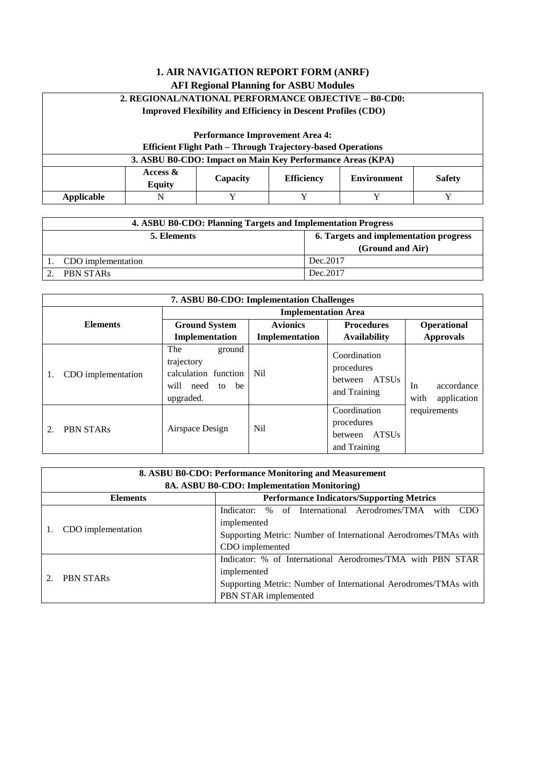| <b>1. AIR NAVIGATION REPORT FORM (ANRF)</b>                                                          |                                                                    |                                                                      |   |         |   |
|------------------------------------------------------------------------------------------------------|--------------------------------------------------------------------|----------------------------------------------------------------------|---|---------|---|
| <b>AFI Regional Planning for ASBU Modules</b>                                                        |                                                                    |                                                                      |   |         |   |
|                                                                                                      | 2. REGIONAL/NATIONAL PERFORMANCE OBJECTIVE - B0-CD0:               |                                                                      |   |         |   |
|                                                                                                      |                                                                    | <b>Improved Flexibility and Efficiency in Descent Profiles (CDO)</b> |   |         |   |
|                                                                                                      |                                                                    |                                                                      |   |         |   |
|                                                                                                      |                                                                    | <b>Performance Improvement Area 4:</b>                               |   |         |   |
|                                                                                                      | <b>Efficient Flight Path - Through Trajectory-based Operations</b> |                                                                      |   |         |   |
|                                                                                                      |                                                                    | 3. ASBU B0-CDO: Impact on Main Key Performance Areas (KPA)           |   |         |   |
| Access $\&$<br><b>Environment</b><br><b>Safety</b><br>Capacity<br><b>Efficiency</b><br><b>Equity</b> |                                                                    |                                                                      |   |         |   |
| <b>Applicable</b>                                                                                    | N                                                                  | Y                                                                    | Y | $\bf v$ | Y |

|                                                       | 4. ASBU B0-CDO: Planning Targets and Implementation Progress |                  |  |  |
|-------------------------------------------------------|--------------------------------------------------------------|------------------|--|--|
| 6. Targets and implementation progress<br>5. Elements |                                                              |                  |  |  |
|                                                       |                                                              | (Ground and Air) |  |  |
|                                                       | CDO implementation                                           | Dec. 2017        |  |  |
|                                                       | <b>PBN STARs</b>                                             | Dec. 2017        |  |  |

| <b>7. ASBU B0-CDO: Implementation Challenges</b> |                                                                                                      |                 |                                                                       |                                         |
|--------------------------------------------------|------------------------------------------------------------------------------------------------------|-----------------|-----------------------------------------------------------------------|-----------------------------------------|
|                                                  | <b>Implementation Area</b>                                                                           |                 |                                                                       |                                         |
| <b>Elements</b>                                  | <b>Ground System</b>                                                                                 | <b>Avionics</b> | <b>Procedures</b>                                                     | Operational                             |
|                                                  | Implementation                                                                                       | Implementation  | <b>Availability</b>                                                   | <b>Approvals</b>                        |
| CDO implementation<br>1.                         | The<br>ground<br>trajectory<br>calculation function<br>need to<br>will<br><sub>be</sub><br>upgraded. | Nil.            | Coordination<br>procedures<br>ATSUs<br>between<br>and Training        | accordance<br>In<br>with<br>application |
| <b>PBN STARs</b><br>$\mathfrak{D}$               | Airspace Design                                                                                      | N <sub>il</sub> | Coordination<br>procedures<br><b>ATSUs</b><br>between<br>and Training | requirements                            |

| 8. ASBU B0-CDO: Performance Monitoring and Measurement<br>8A. ASBU B0-CDO: Implementation Monitoring) |                                                                 |  |
|-------------------------------------------------------------------------------------------------------|-----------------------------------------------------------------|--|
| <b>Performance Indicators/Supporting Metrics</b><br><b>Elements</b>                                   |                                                                 |  |
|                                                                                                       | Indicator: % of International Aerodromes/TMA with<br>-CDO       |  |
| CDO implementation                                                                                    | implemented                                                     |  |
|                                                                                                       | Supporting Metric: Number of International Aerodromes/TMAs with |  |
|                                                                                                       | CDO implemented                                                 |  |
| <b>PBN STARs</b>                                                                                      | Indicator: % of International Aerodromes/TMA with PBN STAR      |  |
|                                                                                                       | implemented                                                     |  |
|                                                                                                       | Supporting Metric: Number of International Aerodromes/TMAs with |  |
|                                                                                                       | PBN STAR implemented                                            |  |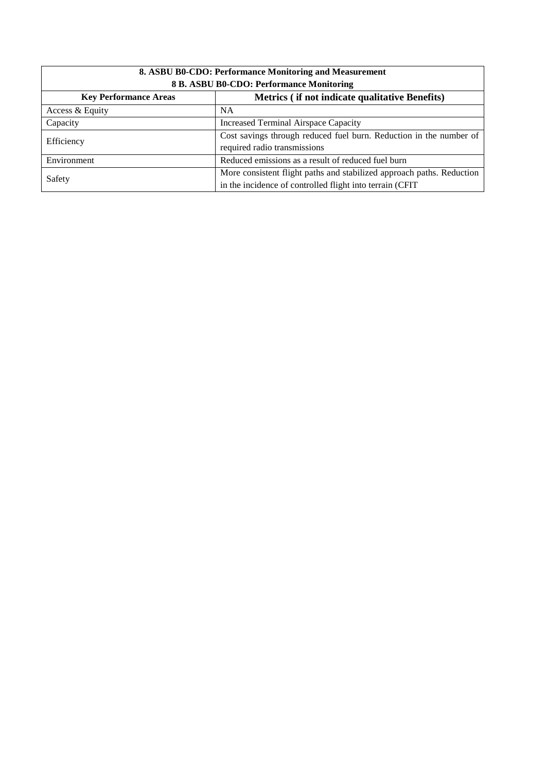| 8. ASBU B0-CDO: Performance Monitoring and Measurement                         |                                                                                                                                    |  |
|--------------------------------------------------------------------------------|------------------------------------------------------------------------------------------------------------------------------------|--|
| 8 B. ASBU B0-CDO: Performance Monitoring                                       |                                                                                                                                    |  |
| Metrics (if not indicate qualitative Benefits)<br><b>Key Performance Areas</b> |                                                                                                                                    |  |
| Access & Equity                                                                | NA.                                                                                                                                |  |
| Capacity                                                                       | Increased Terminal Airspace Capacity                                                                                               |  |
| Efficiency                                                                     | Cost savings through reduced fuel burn. Reduction in the number of<br>required radio transmissions                                 |  |
| Environment                                                                    | Reduced emissions as a result of reduced fuel burn                                                                                 |  |
| Safety                                                                         | More consistent flight paths and stabilized approach paths. Reduction<br>in the incidence of controlled flight into terrain (CFIT) |  |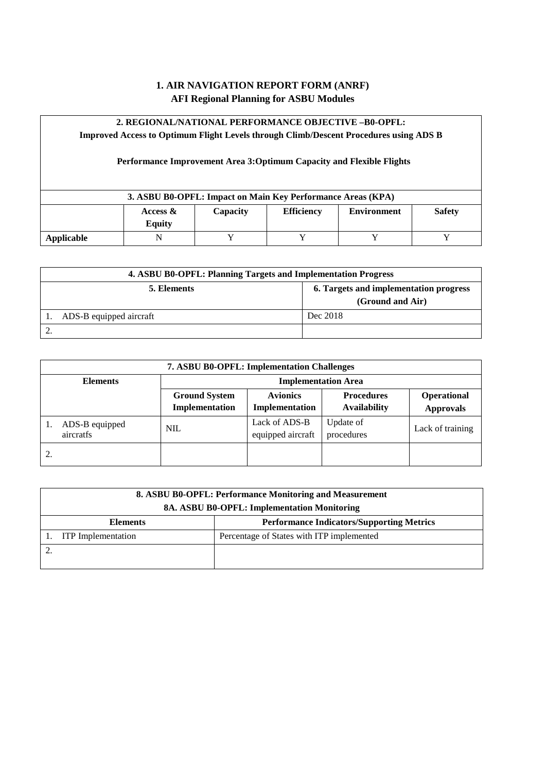# **2. REGIONAL/NATIONAL PERFORMANCE OBJECTIVE –B0-OPFL:**

**Improved Access to Optimum Flight Levels through Climb/Descent Procedures using ADS B**

# **Performance Improvement Area 3:Optimum Capacity and Flexible Flights**

|            |                           | 3. ASBU B0-OPFL: Impact on Main Key Performance Areas (KPA) |                   |                    |               |
|------------|---------------------------|-------------------------------------------------------------|-------------------|--------------------|---------------|
|            | Access &<br><b>Equity</b> | Capacity                                                    | <b>Efficiency</b> | <b>Environment</b> | <b>Safety</b> |
| Applicable | N                         |                                                             |                   |                    |               |

| 4. ASBU B0-OPFL: Planning Targets and Implementation Progress             |          |  |
|---------------------------------------------------------------------------|----------|--|
| 6. Targets and implementation progress<br>5. Elements<br>(Ground and Air) |          |  |
| ADS-B equipped aircraft                                                   | Dec 2018 |  |
|                                                                           |          |  |

| <b>7. ASBU B0-OPFL: Implementation Challenges</b> |                                        |                                    |                                          |                                 |
|---------------------------------------------------|----------------------------------------|------------------------------------|------------------------------------------|---------------------------------|
| <b>Elements</b>                                   | <b>Implementation Area</b>             |                                    |                                          |                                 |
|                                                   | <b>Ground System</b><br>Implementation | <b>Avionics</b><br>Implementation  | <b>Procedures</b><br><b>Availability</b> | Operational<br><b>Approvals</b> |
| ADS-B equipped<br>aircratfs                       | <b>NIL</b>                             | Lack of ADS-B<br>equipped aircraft | Update of<br>procedures                  | Lack of training                |
| 2.                                                |                                        |                                    |                                          |                                 |

| 8. ASBU B0-OPFL: Performance Monitoring and Measurement |                                                  |  |
|---------------------------------------------------------|--------------------------------------------------|--|
| 8A. ASBU B0-OPFL: Implementation Monitoring             |                                                  |  |
| <b>Elements</b>                                         | <b>Performance Indicators/Supporting Metrics</b> |  |
| <b>ITP</b> Implementation                               | Percentage of States with ITP implemented        |  |
|                                                         |                                                  |  |
|                                                         |                                                  |  |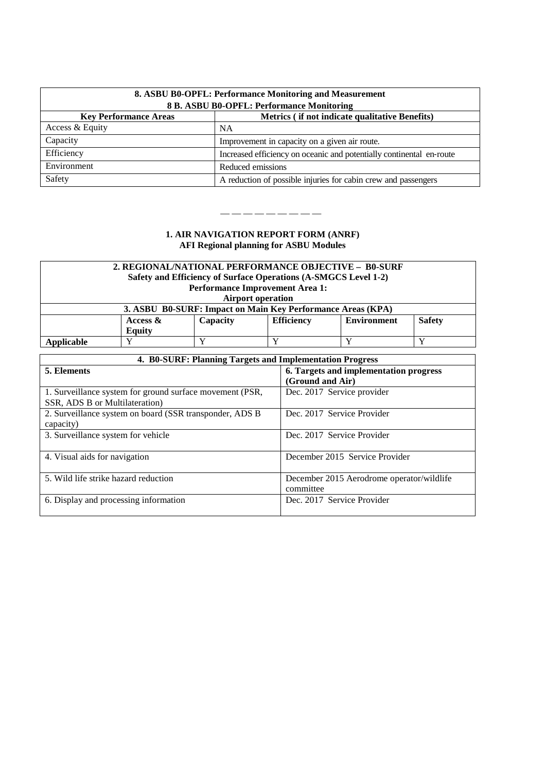| 8. ASBU B0-OPFL: Performance Monitoring and Measurement<br>8 B. ASBU B0-OPFL: Performance Monitoring |                                                                      |  |
|------------------------------------------------------------------------------------------------------|----------------------------------------------------------------------|--|
| Metrics (if not indicate qualitative Benefits)<br><b>Key Performance Areas</b>                       |                                                                      |  |
| Access & Equity                                                                                      | <b>NA</b>                                                            |  |
| Capacity                                                                                             | Improvement in capacity on a given air route.                        |  |
| Efficiency                                                                                           | Increased efficiency on oceanic and potentially continental en-route |  |
| Environment                                                                                          | Reduced emissions                                                    |  |
| Safety                                                                                               | A reduction of possible injuries for cabin crew and passengers       |  |

— — — — — — — — —

| 2. REGIONAL/NATIONAL PERFORMANCE OBJECTIVE - B0-SURF<br>Safety and Efficiency of Surface Operations (A-SMGCS Level 1-2) |                                        |  |  |  |  |
|-------------------------------------------------------------------------------------------------------------------------|----------------------------------------|--|--|--|--|
|                                                                                                                         | <b>Performance Improvement Area 1:</b> |  |  |  |  |
|                                                                                                                         | <b>Airport operation</b>               |  |  |  |  |
| 3. ASBU B0-SURF: Impact on Main Key Performance Areas (KPA)                                                             |                                        |  |  |  |  |
| <b>Safety</b><br><b>Efficiency</b><br>Access $\&$<br><b>Environment</b><br>Capacity                                     |                                        |  |  |  |  |
|                                                                                                                         | <b>Equity</b>                          |  |  |  |  |
| Applicable                                                                                                              |                                        |  |  |  |  |

| 4. B0-SURF: Planning Targets and Implementation Progress |                                           |  |  |
|----------------------------------------------------------|-------------------------------------------|--|--|
| 5. Elements                                              | 6. Targets and implementation progress    |  |  |
|                                                          | (Ground and Air)                          |  |  |
| 1. Surveillance system for ground surface movement (PSR, | Dec. 2017 Service provider                |  |  |
| SSR, ADS B or Multilateration)                           |                                           |  |  |
| 2. Surveillance system on board (SSR transponder, ADS B) | Dec. 2017 Service Provider                |  |  |
| capacity)                                                |                                           |  |  |
| 3. Surveillance system for vehicle                       | Dec. 2017 Service Provider                |  |  |
|                                                          |                                           |  |  |
| 4. Visual aids for navigation                            | December 2015 Service Provider            |  |  |
|                                                          |                                           |  |  |
| 5. Wild life strike hazard reduction                     | December 2015 Aerodrome operator/wildlife |  |  |
|                                                          | committee                                 |  |  |
| 6. Display and processing information                    | Dec. 2017 Service Provider                |  |  |
|                                                          |                                           |  |  |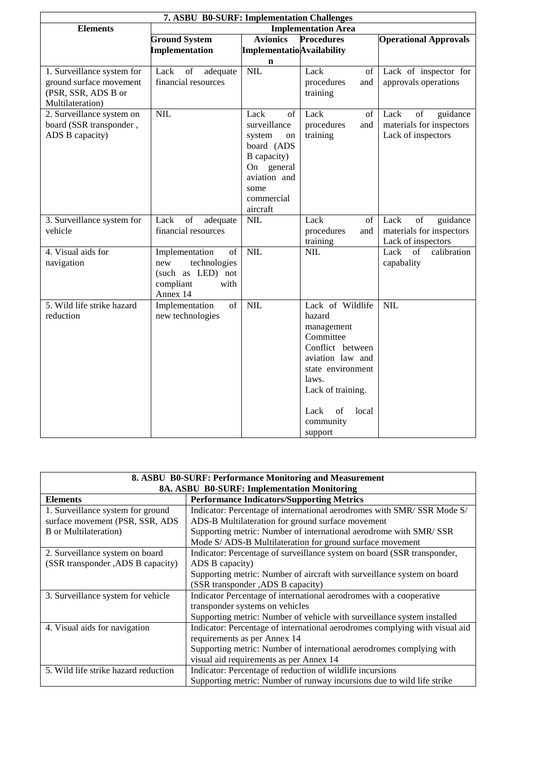| 7. ASBU B0-SURF: Implementation Challenges |                                                                                                                        |                                     |                     |                                                                                                                        |
|--------------------------------------------|------------------------------------------------------------------------------------------------------------------------|-------------------------------------|---------------------|------------------------------------------------------------------------------------------------------------------------|
| <b>Elements</b>                            | <b>Implementation Area</b>                                                                                             |                                     |                     |                                                                                                                        |
|                                            | <b>Ground System</b>                                                                                                   | <b>Avionics</b>                     | <b>Procedures</b>   | <b>Operational Approvals</b>                                                                                           |
|                                            | <b>Implementation</b>                                                                                                  | <b>Implementatio</b> Availability   |                     |                                                                                                                        |
|                                            |                                                                                                                        | n                                   |                     |                                                                                                                        |
| 1. Surveillance system for                 | Lack<br>$% \left( \left( \mathcal{A},\mathcal{A}\right) \right) =\left( \mathcal{A},\mathcal{A}\right)$ of<br>adequate | NIL                                 | Lack<br>of          | Lack of inspector for                                                                                                  |
| ground surface movement                    | financial resources                                                                                                    |                                     | procedures<br>and   | approvals operations                                                                                                   |
| (PSR, SSR, ADS B or                        |                                                                                                                        |                                     | training            |                                                                                                                        |
| Multilateration)                           |                                                                                                                        |                                     |                     |                                                                                                                        |
| 2. Surveillance system on                  | <b>NIL</b>                                                                                                             | Lack<br>of                          | Lack<br>of          | guidance<br>Lack<br>$% \left( \left( \mathcal{A},\mathcal{A}\right) \right) =\left( \mathcal{A},\mathcal{A}\right)$ of |
| board (SSR transponder,                    |                                                                                                                        | surveillance                        | procedures<br>and   | materials for inspectors                                                                                               |
| ADS B capacity)                            |                                                                                                                        | system<br>on                        | training            | Lack of inspectors                                                                                                     |
|                                            |                                                                                                                        | board (ADS                          |                     |                                                                                                                        |
|                                            |                                                                                                                        | B capacity)                         |                     |                                                                                                                        |
|                                            |                                                                                                                        | On general                          |                     |                                                                                                                        |
|                                            |                                                                                                                        | aviation and                        |                     |                                                                                                                        |
|                                            |                                                                                                                        | some                                |                     |                                                                                                                        |
|                                            |                                                                                                                        | commercial                          |                     |                                                                                                                        |
|                                            | Lack<br>of                                                                                                             | aircraft<br>$\overline{\text{NIL}}$ | Lack<br>of          | Lack<br>of                                                                                                             |
| 3. Surveillance system for<br>vehicle      | adequate<br>financial resources                                                                                        |                                     | procedures<br>and   | guidance<br>materials for inspectors                                                                                   |
|                                            |                                                                                                                        |                                     | training            | Lack of inspectors                                                                                                     |
| 4. Visual aids for                         | Implementation<br>of                                                                                                   | NIL                                 | <b>NIL</b>          | Lack<br>calibration<br>of                                                                                              |
| navigation                                 | technologies<br>new                                                                                                    |                                     |                     | capabality                                                                                                             |
|                                            | (such as LED) not                                                                                                      |                                     |                     |                                                                                                                        |
|                                            | compliant<br>with                                                                                                      |                                     |                     |                                                                                                                        |
|                                            | Annex 14                                                                                                               |                                     |                     |                                                                                                                        |
| 5. Wild life strike hazard                 | Implementation<br>of                                                                                                   | $\overline{\text{NIL}}$             | Lack of Wildlife    | $\overline{\text{NIL}}$                                                                                                |
| reduction                                  | new technologies                                                                                                       |                                     | hazard              |                                                                                                                        |
|                                            |                                                                                                                        |                                     | management          |                                                                                                                        |
|                                            |                                                                                                                        |                                     | Committee           |                                                                                                                        |
|                                            |                                                                                                                        |                                     | Conflict between    |                                                                                                                        |
|                                            |                                                                                                                        |                                     | aviation law and    |                                                                                                                        |
|                                            |                                                                                                                        |                                     | state environment   |                                                                                                                        |
|                                            |                                                                                                                        |                                     | laws.               |                                                                                                                        |
|                                            |                                                                                                                        |                                     | Lack of training.   |                                                                                                                        |
|                                            |                                                                                                                        |                                     | Lack<br>of<br>local |                                                                                                                        |
|                                            |                                                                                                                        |                                     | community           |                                                                                                                        |
|                                            |                                                                                                                        |                                     | support             |                                                                                                                        |

| 8. ASBU B0-SURF: Performance Monitoring and Measurement |                                                                             |  |
|---------------------------------------------------------|-----------------------------------------------------------------------------|--|
| 8A. ASBU B0-SURF: Implementation Monitoring             |                                                                             |  |
| <b>Elements</b>                                         | <b>Performance Indicators/Supporting Metrics</b>                            |  |
| 1. Surveillance system for ground                       | Indicator: Percentage of international aerodromes with SMR/ SSR Mode S/     |  |
| surface movement (PSR, SSR, ADS                         | ADS-B Multilateration for ground surface movement                           |  |
| <b>B</b> or Multilateration)                            | Supporting metric: Number of international aerodrome with SMR/ SSR          |  |
|                                                         | Mode S/ ADS-B Multilateration for ground surface movement                   |  |
| 2. Surveillance system on board                         | Indicator: Percentage of surveillance system on board (SSR transponder,     |  |
| (SSR transponder ,ADS B capacity)                       | ADS B capacity)                                                             |  |
|                                                         | Supporting metric: Number of aircraft with surveillance system on board     |  |
|                                                         | (SSR transponder ,ADS B capacity)                                           |  |
| 3. Surveillance system for vehicle                      | Indicator Percentage of international aerodromes with a cooperative         |  |
|                                                         | transponder systems on vehicles                                             |  |
|                                                         | Supporting metric: Number of vehicle with surveillance system installed     |  |
| 4. Visual aids for navigation                           | Indicator: Percentage of international aerodromes complying with visual aid |  |
|                                                         | requirements as per Annex 14                                                |  |
|                                                         | Supporting metric: Number of international aerodromes complying with        |  |
|                                                         | visual aid requirements as per Annex 14                                     |  |
| 5. Wild life strike hazard reduction                    | Indicator: Percentage of reduction of wildlife incursions                   |  |
|                                                         | Supporting metric: Number of runway incursions due to wild life strike      |  |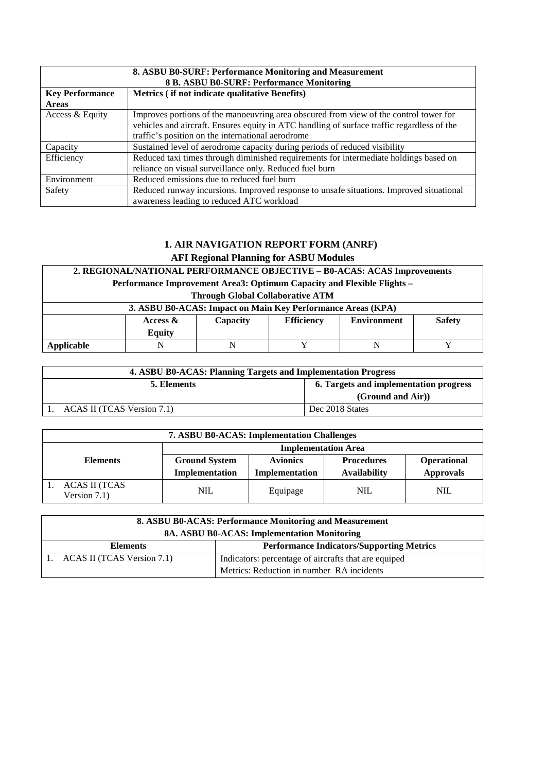| 8. ASBU B0-SURF: Performance Monitoring and Measurement<br>8 B. ASBU B0-SURF: Performance Monitoring |                                                                                                                                                                                                                                          |  |  |
|------------------------------------------------------------------------------------------------------|------------------------------------------------------------------------------------------------------------------------------------------------------------------------------------------------------------------------------------------|--|--|
| <b>Key Performance</b><br><b>Areas</b>                                                               | Metrics (if not indicate qualitative Benefits)                                                                                                                                                                                           |  |  |
| Access & Equity                                                                                      | Improves portions of the manoeuvring area obscured from view of the control tower for<br>vehicles and aircraft. Ensures equity in ATC handling of surface traffic regardless of the<br>traffic's position on the international aerodrome |  |  |
| Capacity                                                                                             | Sustained level of aerodrome capacity during periods of reduced visibility                                                                                                                                                               |  |  |
| Efficiency                                                                                           | Reduced taxi times through diminished requirements for intermediate holdings based on<br>reliance on visual surveillance only. Reduced fuel burn                                                                                         |  |  |
| Environment                                                                                          | Reduced emissions due to reduced fuel burn                                                                                                                                                                                               |  |  |
| Safety                                                                                               | Reduced runway incursions. Improved response to unsafe situations. Improved situational<br>awareness leading to reduced ATC workload                                                                                                     |  |  |

# **1. AIR NAVIGATION REPORT FORM (ANRF)**

**AFI Regional Planning for ASBU Modules**

| 2. REGIONAL/NATIONAL PERFORMANCE OBJECTIVE - B0-ACAS: ACAS Improvements |                                                                                     |  |  |  |  |  |  |  |  |
|-------------------------------------------------------------------------|-------------------------------------------------------------------------------------|--|--|--|--|--|--|--|--|
|                                                                         | Performance Improvement Area3: Optimum Capacity and Flexible Flights –              |  |  |  |  |  |  |  |  |
|                                                                         | <b>Through Global Collaborative ATM</b>                                             |  |  |  |  |  |  |  |  |
|                                                                         | 3. ASBU B0-ACAS: Impact on Main Key Performance Areas (KPA)                         |  |  |  |  |  |  |  |  |
|                                                                         | <b>Environment</b><br><b>Safety</b><br><b>Efficiency</b><br>Capacity<br>Access $\&$ |  |  |  |  |  |  |  |  |
| <b>Equity</b>                                                           |                                                                                     |  |  |  |  |  |  |  |  |
| Applicable                                                              | N<br>N                                                                              |  |  |  |  |  |  |  |  |

| 4. ASBU B0-ACAS: Planning Targets and Implementation Progress |                   |  |  |
|---------------------------------------------------------------|-------------------|--|--|
| 6. Targets and implementation progress<br>5. Elements         |                   |  |  |
|                                                               | (Ground and Air)) |  |  |
| ACAS II (TCAS Version 7.1)                                    | Dec 2018 States   |  |  |

| <b>7. ASBU B0-ACAS: Implementation Challenges</b> |                            |                 |                     |                  |  |
|---------------------------------------------------|----------------------------|-----------------|---------------------|------------------|--|
|                                                   | <b>Implementation Area</b> |                 |                     |                  |  |
| <b>Elements</b>                                   | <b>Ground System</b>       | <b>Avionics</b> | <b>Procedures</b>   | Operational      |  |
|                                                   | Implementation             | Implementation  | <b>Availability</b> | <b>Approvals</b> |  |
| ACAS II (TCAS<br>Version 7.1)                     | <b>NIL</b>                 | Equipage        | <b>NIL</b>          | <b>NIL</b>       |  |

| 8. ASBU B0-ACAS: Performance Monitoring and Measurement<br>8A. ASBU B0-ACAS: Implementation Monitoring |                                                      |  |  |
|--------------------------------------------------------------------------------------------------------|------------------------------------------------------|--|--|
| <b>Elements</b>                                                                                        | <b>Performance Indicators/Supporting Metrics</b>     |  |  |
| ACAS II (TCAS Version 7.1)                                                                             | Indicators: percentage of aircrafts that are equiped |  |  |
| Metrics: Reduction in number RA incidents                                                              |                                                      |  |  |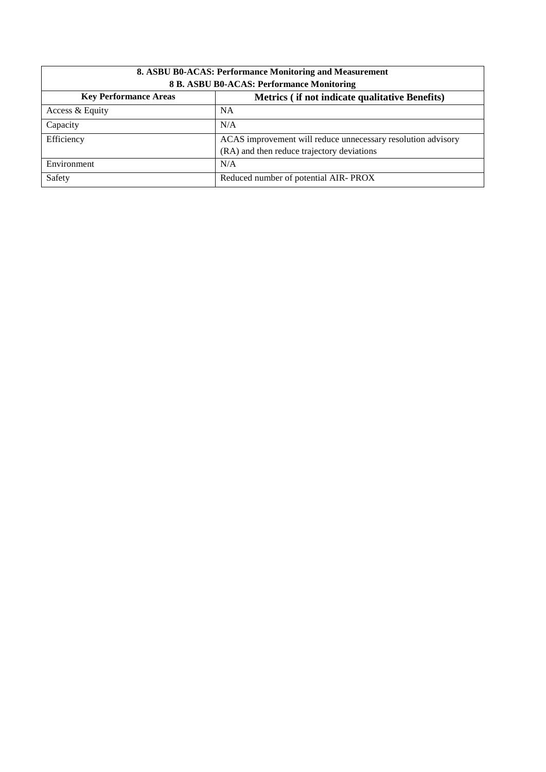| 8. ASBU B0-ACAS: Performance Monitoring and Measurement                        |                                                              |  |  |
|--------------------------------------------------------------------------------|--------------------------------------------------------------|--|--|
| 8 B. ASBU B0-ACAS: Performance Monitoring                                      |                                                              |  |  |
| <b>Key Performance Areas</b><br>Metrics (if not indicate qualitative Benefits) |                                                              |  |  |
| Access & Equity                                                                | <b>NA</b>                                                    |  |  |
| Capacity                                                                       | N/A                                                          |  |  |
| Efficiency                                                                     | ACAS improvement will reduce unnecessary resolution advisory |  |  |
|                                                                                | (RA) and then reduce trajectory deviations                   |  |  |
| Environment                                                                    | N/A                                                          |  |  |
| Safety<br>Reduced number of potential AIR-PROX                                 |                                                              |  |  |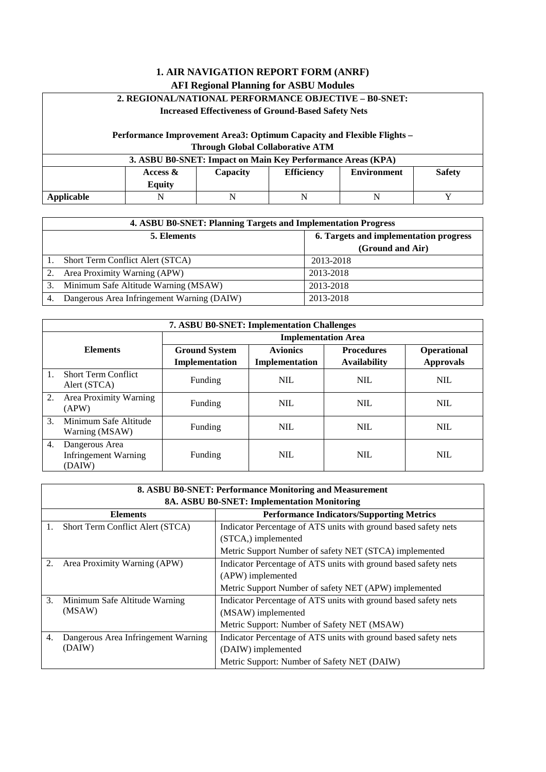### **2. REGIONAL/NATIONAL PERFORMANCE OBJECTIVE – B0-SNET:**

#### **Increased Effectiveness of Ground-Based Safety Nets**

#### **Performance Improvement Area3: Optimum Capacity and Flexible Flights – Through Global Collaborative ATM**

| 3. ASBU B0-SNET: Impact on Main Key Performance Areas (KPA) |                                                                                            |  |  |  |  |  |  |  |
|-------------------------------------------------------------|--------------------------------------------------------------------------------------------|--|--|--|--|--|--|--|
|                                                             | <b>Efficiency</b><br><b>Safety</b><br><b>Environment</b><br>Capacity<br>Access &<br>Equity |  |  |  |  |  |  |  |
| Applicable                                                  | N                                                                                          |  |  |  |  |  |  |  |

|    | 4. ASBU B0-SNET: Planning Targets and Implementation Progress |                  |  |  |  |
|----|---------------------------------------------------------------|------------------|--|--|--|
|    | 6. Targets and implementation progress<br>5. Elements         |                  |  |  |  |
|    |                                                               | (Ground and Air) |  |  |  |
|    | Short Term Conflict Alert (STCA)                              | 2013-2018        |  |  |  |
|    | Area Proximity Warning (APW)                                  | 2013-2018        |  |  |  |
| 3. | Minimum Safe Altitude Warning (MSAW)                          | 2013-2018        |  |  |  |
|    | Dangerous Area Infringement Warning (DAIW)                    | 2013-2018        |  |  |  |

|                             | <b>7. ASBU B0-SNET: Implementation Challenges</b>       |                      |                 |                     |                    |  |  |
|-----------------------------|---------------------------------------------------------|----------------------|-----------------|---------------------|--------------------|--|--|
| <b>Implementation Area</b>  |                                                         |                      |                 |                     |                    |  |  |
|                             | <b>Elements</b>                                         | <b>Ground System</b> | <b>Avionics</b> | <b>Procedures</b>   | <b>Operational</b> |  |  |
|                             |                                                         | Implementation       | Implementation  | <b>Availability</b> | <b>Approvals</b>   |  |  |
|                             | <b>Short Term Conflict</b><br>Alert (STCA)              | Funding              | <b>NIL</b>      | <b>NIL</b>          | <b>NIL</b>         |  |  |
| 2.                          | Area Proximity Warning<br>(APW)                         | Funding              | <b>NIL</b>      | <b>NIL</b>          | <b>NIL</b>         |  |  |
| $\mathcal{F}_{\mathcal{L}}$ | Minimum Safe Altitude<br>Warning (MSAW)                 | Funding              | <b>NIL</b>      | <b>NIL</b>          | <b>NIL</b>         |  |  |
| 4.                          | Dangerous Area<br><b>Infringement Warning</b><br>(DAIW) | Funding              | <b>NIL</b>      | <b>NIL</b>          | <b>NIL</b>         |  |  |

|    | 8. ASBU B0-SNET: Performance Monitoring and Measurement             |                                                                 |  |  |  |
|----|---------------------------------------------------------------------|-----------------------------------------------------------------|--|--|--|
|    | 8A. ASBU B0-SNET: Implementation Monitoring                         |                                                                 |  |  |  |
|    | <b>Performance Indicators/Supporting Metrics</b><br><b>Elements</b> |                                                                 |  |  |  |
| 1. | Short Term Conflict Alert (STCA)                                    | Indicator Percentage of ATS units with ground based safety nets |  |  |  |
|    |                                                                     | (STCA,) implemented                                             |  |  |  |
|    |                                                                     | Metric Support Number of safety NET (STCA) implemented          |  |  |  |
| 2. | Area Proximity Warning (APW)                                        | Indicator Percentage of ATS units with ground based safety nets |  |  |  |
|    |                                                                     | (APW) implemented                                               |  |  |  |
|    |                                                                     | Metric Support Number of safety NET (APW) implemented           |  |  |  |
| 3. | Minimum Safe Altitude Warning                                       | Indicator Percentage of ATS units with ground based safety nets |  |  |  |
|    | (MSAW)                                                              | (MSAW) implemented                                              |  |  |  |
|    |                                                                     | Metric Support: Number of Safety NET (MSAW)                     |  |  |  |
| 4. | Dangerous Area Infringement Warning                                 | Indicator Percentage of ATS units with ground based safety nets |  |  |  |
|    | (DAIW)                                                              | (DAIW) implemented                                              |  |  |  |
|    |                                                                     | Metric Support: Number of Safety NET (DAIW)                     |  |  |  |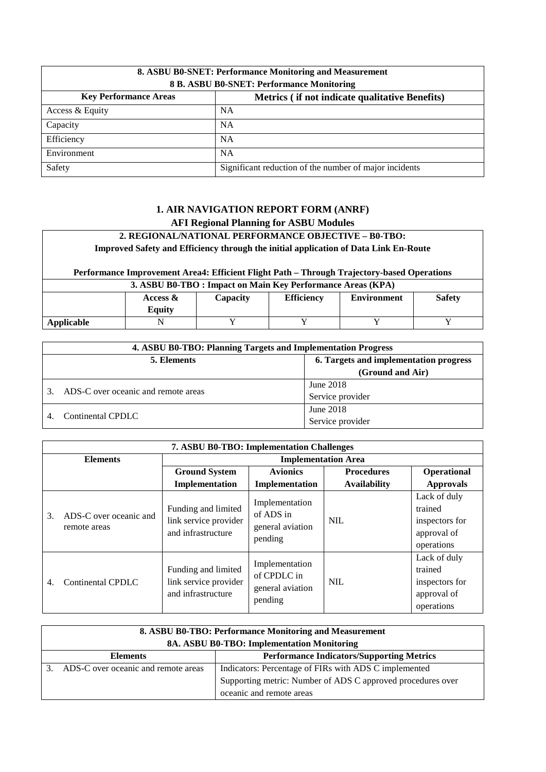| 8. ASBU B0-SNET: Performance Monitoring and Measurement<br>8 B. ASBU B0-SNET: Performance Monitoring |                                                        |  |  |  |
|------------------------------------------------------------------------------------------------------|--------------------------------------------------------|--|--|--|
| <b>Key Performance Areas</b><br>Metrics (if not indicate qualitative Benefits)                       |                                                        |  |  |  |
| Access & Equity                                                                                      | <b>NA</b>                                              |  |  |  |
| Capacity                                                                                             | <b>NA</b>                                              |  |  |  |
| Efficiency                                                                                           | <b>NA</b>                                              |  |  |  |
| Environment                                                                                          | <b>NA</b>                                              |  |  |  |
| Safety                                                                                               | Significant reduction of the number of major incidents |  |  |  |

#### **2. REGIONAL/NATIONAL PERFORMANCE OBJECTIVE – B0-TBO: Improved Safety and Efficiency through the initial application of Data Link En-Route Performance Improvement Area4: Efficient Flight Path – Through Trajectory-based Operations 3. ASBU B0-TBO : Impact on Main Key Performance Areas (KPA) Access &**  Τ **Capacity Efficiency Environment Safety**

|            | $\nabla$ ovity<br><b>Equit</b> |     |  |
|------------|--------------------------------|-----|--|
| Applicable |                                | - - |  |
|            |                                |     |  |

| 4. ASBU B0-TBO: Planning Targets and Implementation Progress |                  |  |  |
|--------------------------------------------------------------|------------------|--|--|
| 6. Targets and implementation progress<br>5. Elements        |                  |  |  |
|                                                              | (Ground and Air) |  |  |
| ADS-C over oceanic and remote areas                          | June 2018        |  |  |
|                                                              | Service provider |  |  |
| Continental CPDLC                                            | June 2018        |  |  |
|                                                              | Service provider |  |  |

|                 | 7. ASBU B0-TBO: Implementation Challenges |                                                                    |                                                              |                            |                                                                        |  |
|-----------------|-------------------------------------------|--------------------------------------------------------------------|--------------------------------------------------------------|----------------------------|------------------------------------------------------------------------|--|
| <b>Elements</b> |                                           |                                                                    |                                                              | <b>Implementation Area</b> |                                                                        |  |
|                 |                                           | <b>Ground System</b>                                               | <b>Avionics</b>                                              | <b>Procedures</b>          | Operational                                                            |  |
|                 |                                           | Implementation                                                     | Implementation                                               | <b>Availability</b>        | <b>Approvals</b>                                                       |  |
| 3.              | ADS-C over oceanic and<br>remote areas    | Funding and limited<br>link service provider<br>and infrastructure | Implementation<br>of ADS in<br>general aviation<br>pending   | <b>NIL</b>                 | Lack of duly<br>trained<br>inspectors for<br>approval of<br>operations |  |
| 4.              | Continental CPDLC                         | Funding and limited<br>link service provider<br>and infrastructure | Implementation<br>of CPDLC in<br>general aviation<br>pending | <b>NIL</b>                 | Lack of duly<br>trained<br>inspectors for<br>approval of<br>operations |  |

| 8. ASBU B0-TBO: Performance Monitoring and Measurement<br>8A. ASBU B0-TBO: Implementation Monitoring |                                                             |  |  |
|------------------------------------------------------------------------------------------------------|-------------------------------------------------------------|--|--|
| <b>Performance Indicators/Supporting Metrics</b><br><b>Elements</b>                                  |                                                             |  |  |
| ADS-C over oceanic and remote areas<br>Indicators: Percentage of FIRs with ADS C implemented         |                                                             |  |  |
|                                                                                                      | Supporting metric: Number of ADS C approved procedures over |  |  |
|                                                                                                      | oceanic and remote areas                                    |  |  |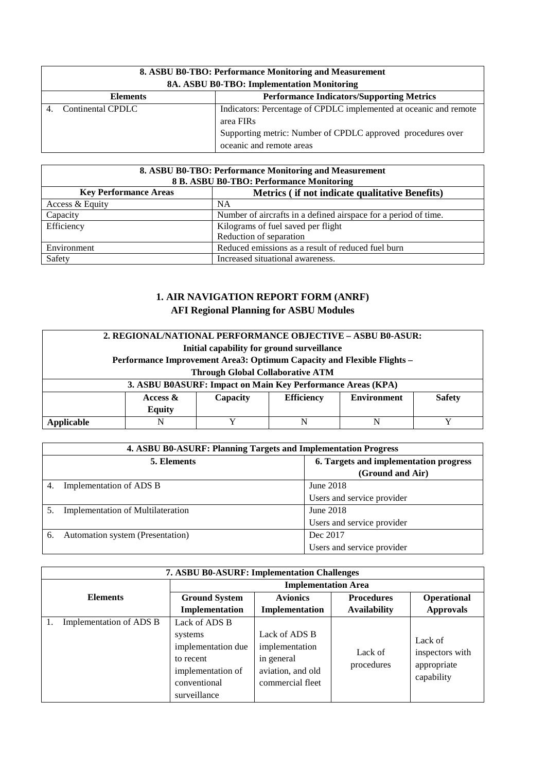| 8. ASBU B0-TBO: Performance Monitoring and Measurement<br>8A. ASBU B0-TBO: Implementation Monitoring |                                                                   |  |  |  |
|------------------------------------------------------------------------------------------------------|-------------------------------------------------------------------|--|--|--|
| <b>Performance Indicators/Supporting Metrics</b><br><b>Elements</b>                                  |                                                                   |  |  |  |
| Continental CPDLC                                                                                    | Indicators: Percentage of CPDLC implemented at oceanic and remote |  |  |  |
|                                                                                                      | area FIR <sub>s</sub>                                             |  |  |  |
| Supporting metric: Number of CPDLC approved procedures over                                          |                                                                   |  |  |  |
|                                                                                                      | oceanic and remote areas                                          |  |  |  |

| 8. ASBU B0-TBO: Performance Monitoring and Measurement<br>8 B. ASBU B0-TBO: Performance Monitoring |                                                                 |  |  |
|----------------------------------------------------------------------------------------------------|-----------------------------------------------------------------|--|--|
| <b>Key Performance Areas</b><br>Metrics (if not indicate qualitative Benefits)                     |                                                                 |  |  |
| Access & Equity                                                                                    | <b>NA</b>                                                       |  |  |
| Capacity                                                                                           | Number of aircrafts in a defined airspace for a period of time. |  |  |
| Efficiency                                                                                         | Kilograms of fuel saved per flight                              |  |  |
|                                                                                                    | Reduction of separation                                         |  |  |
| Environment                                                                                        | Reduced emissions as a result of reduced fuel burn              |  |  |
| Safety                                                                                             | Increased situational awareness.                                |  |  |

| 2. REGIONAL/NATIONAL PERFORMANCE OBJECTIVE – ASBU B0-ASUR: |                                                                        |                                                             |                   |                    |               |  |
|------------------------------------------------------------|------------------------------------------------------------------------|-------------------------------------------------------------|-------------------|--------------------|---------------|--|
|                                                            | Initial capability for ground surveillance                             |                                                             |                   |                    |               |  |
|                                                            | Performance Improvement Area3: Optimum Capacity and Flexible Flights – |                                                             |                   |                    |               |  |
|                                                            |                                                                        | <b>Through Global Collaborative ATM</b>                     |                   |                    |               |  |
|                                                            |                                                                        | 3. ASBU B0ASURF: Impact on Main Key Performance Areas (KPA) |                   |                    |               |  |
|                                                            | Access $\&$                                                            | Capacity                                                    | <b>Efficiency</b> | <b>Environment</b> | <b>Safety</b> |  |
| <b>Equity</b>                                              |                                                                        |                                                             |                   |                    |               |  |
| Applicable                                                 | N                                                                      | v                                                           | N                 | N                  |               |  |

|    | 4. ASBU B0-ASURF: Planning Targets and Implementation Progress |                                        |  |  |
|----|----------------------------------------------------------------|----------------------------------------|--|--|
|    | 5. Elements                                                    | 6. Targets and implementation progress |  |  |
|    |                                                                | (Ground and Air)                       |  |  |
| 4. | Implementation of ADS B                                        | June 2018                              |  |  |
|    |                                                                | Users and service provider             |  |  |
|    | <b>Implementation of Multilateration</b>                       | June 2018                              |  |  |
|    |                                                                | Users and service provider             |  |  |
|    | Automation system (Presentation)                               | Dec 2017                               |  |  |
|    |                                                                | Users and service provider             |  |  |

|                            | <b>7. ASBU B0-ASURF: Implementation Challenges</b> |                      |                                 |                     |                                |  |
|----------------------------|----------------------------------------------------|----------------------|---------------------------------|---------------------|--------------------------------|--|
| <b>Implementation Area</b> |                                                    |                      |                                 |                     |                                |  |
|                            | <b>Elements</b>                                    | <b>Ground System</b> | <b>Avionics</b>                 | <b>Procedures</b>   | Operational                    |  |
|                            |                                                    | Implementation       | Implementation                  | <b>Availability</b> | <b>Approvals</b>               |  |
|                            | Implementation of ADS B                            | Lack of ADS B        |                                 |                     |                                |  |
|                            |                                                    | systems              | Lack of ADS B<br>implementation | Lack of             | Lack of                        |  |
|                            |                                                    | implementation due   |                                 |                     |                                |  |
|                            |                                                    | to recent            | in general                      |                     | inspectors with<br>appropriate |  |
|                            |                                                    | implementation of    | aviation, and old               | procedures          |                                |  |
|                            |                                                    | conventional         | commercial fleet                |                     | capability                     |  |
|                            |                                                    | surveillance         |                                 |                     |                                |  |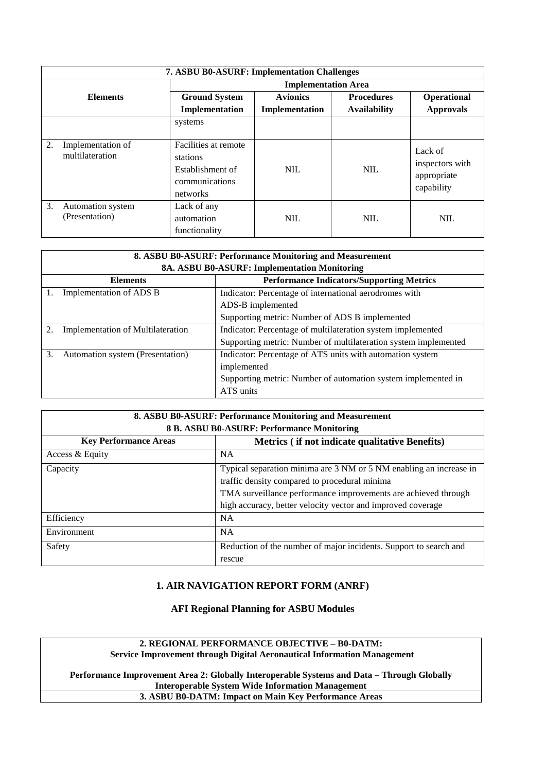|    | <b>7. ASBU B0-ASURF: Implementation Challenges</b> |                                                                                    |                 |                     |                                                         |  |
|----|----------------------------------------------------|------------------------------------------------------------------------------------|-----------------|---------------------|---------------------------------------------------------|--|
|    | <b>Implementation Area</b>                         |                                                                                    |                 |                     |                                                         |  |
|    | <b>Elements</b>                                    | <b>Ground System</b>                                                               | <b>Avionics</b> | <b>Procedures</b>   | Operational                                             |  |
|    |                                                    | Implementation                                                                     | Implementation  | <b>Availability</b> | <b>Approvals</b>                                        |  |
|    |                                                    | systems                                                                            |                 |                     |                                                         |  |
| 2. | Implementation of<br>multilateration               | Facilities at remote<br>stations<br>Establishment of<br>communications<br>networks | <b>NIL</b>      | <b>NIL</b>          | Lack of<br>inspectors with<br>appropriate<br>capability |  |
| 3. | Automation system<br>(Presentation)                | Lack of any<br>automation<br>functionality                                         | <b>NIL</b>      | <b>NIL</b>          | <b>NIL</b>                                              |  |

| 8. ASBU B0-ASURF: Performance Monitoring and Measurement                          |                                                                 |  |  |  |  |
|-----------------------------------------------------------------------------------|-----------------------------------------------------------------|--|--|--|--|
|                                                                                   | 8A. ASBU B0-ASURF: Implementation Monitoring                    |  |  |  |  |
| <b>Elements</b>                                                                   | <b>Performance Indicators/Supporting Metrics</b>                |  |  |  |  |
| Indicator: Percentage of international aerodromes with<br>Implementation of ADS B |                                                                 |  |  |  |  |
|                                                                                   | ADS-B implemented                                               |  |  |  |  |
|                                                                                   | Supporting metric: Number of ADS B implemented                  |  |  |  |  |
| <b>Implementation of Multilateration</b><br>2.                                    | Indicator: Percentage of multilateration system implemented     |  |  |  |  |
|                                                                                   | Supporting metric: Number of multilateration system implemented |  |  |  |  |
| 3.<br>Automation system (Presentation)                                            | Indicator: Percentage of ATS units with automation system       |  |  |  |  |
|                                                                                   | implemented                                                     |  |  |  |  |
| Supporting metric: Number of automation system implemented in                     |                                                                 |  |  |  |  |
|                                                                                   | ATS units                                                       |  |  |  |  |

| 8. ASBU B0-ASURF: Performance Monitoring and Measurement<br>8 B. ASBU B0-ASURF: Performance Monitoring |                                                                                                                                                                                                                                                      |  |  |  |
|--------------------------------------------------------------------------------------------------------|------------------------------------------------------------------------------------------------------------------------------------------------------------------------------------------------------------------------------------------------------|--|--|--|
| <b>Key Performance Areas</b><br>Metrics (if not indicate qualitative Benefits)                         |                                                                                                                                                                                                                                                      |  |  |  |
| Access & Equity                                                                                        | NA.                                                                                                                                                                                                                                                  |  |  |  |
| Capacity                                                                                               | Typical separation minima are 3 NM or 5 NM enabling an increase in<br>traffic density compared to procedural minima<br>TMA surveillance performance improvements are achieved through<br>high accuracy, better velocity vector and improved coverage |  |  |  |
| Efficiency                                                                                             | <b>NA</b>                                                                                                                                                                                                                                            |  |  |  |
| Environment                                                                                            | <b>NA</b>                                                                                                                                                                                                                                            |  |  |  |
| Safety<br>Reduction of the number of major incidents. Support to search and<br>rescue                  |                                                                                                                                                                                                                                                      |  |  |  |

#### **1. AIR NAVIGATION REPORT FORM (ANRF)**

**AFI Regional Planning for ASBU Modules**

**2. REGIONAL PERFORMANCE OBJECTIVE – B0-DATM: Service Improvement through Digital Aeronautical Information Management**

**Performance Improvement Area 2: Globally Interoperable Systems and Data – Through Globally Interoperable System Wide Information Management 3. ASBU B0-DATM: Impact on Main Key Performance Areas**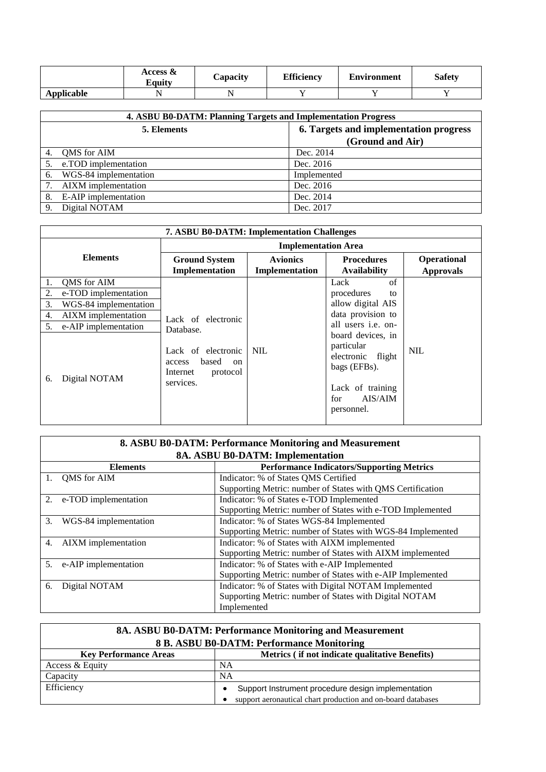|            | Access &<br>Equity | Capacity | <b>Efficiency</b> | <b>Environment</b> | <b>Safety</b> |
|------------|--------------------|----------|-------------------|--------------------|---------------|
| Applicable |                    |          |                   |                    |               |

|    | 4. ASBU B0-DATM: Planning Targets and Implementation Progress |                  |  |  |
|----|---------------------------------------------------------------|------------------|--|--|
|    | 6. Targets and implementation progress<br>5. Elements         |                  |  |  |
|    |                                                               | (Ground and Air) |  |  |
|    | QMS for AIM                                                   | Dec. 2014        |  |  |
| 5. | e.TOD implementation                                          | Dec. 2016        |  |  |
| 6. | WGS-84 implementation                                         | Implemented      |  |  |
|    | 7. AIXM implementation                                        | Dec. 2016        |  |  |
| 8. | E-AIP implementation                                          | Dec. 2014        |  |  |
| 9. | Digital NOTAM                                                 | Dec. 2017        |  |  |

|                 | <b>7. ASBU B0-DATM: Implementation Challenges</b> |                                                                                  |                                   |                                                                                                                          |                                 |
|-----------------|---------------------------------------------------|----------------------------------------------------------------------------------|-----------------------------------|--------------------------------------------------------------------------------------------------------------------------|---------------------------------|
| <b>Elements</b> |                                                   | <b>Implementation Area</b>                                                       |                                   |                                                                                                                          |                                 |
|                 |                                                   | <b>Ground System</b><br>Implementation                                           | <b>Avionics</b><br>Implementation | <b>Procedures</b><br><b>Availability</b>                                                                                 | Operational<br><b>Approvals</b> |
| 1.              | QMS for AIM                                       |                                                                                  |                                   | $\sigma$ f<br>Lack                                                                                                       |                                 |
| 2.              | e-TOD implementation                              |                                                                                  |                                   | procedures<br>to                                                                                                         |                                 |
| 3.              | WGS-84 implementation                             |                                                                                  |                                   | allow digital AIS                                                                                                        |                                 |
| 4.              | AIXM implementation                               | Lack of electronic<br>Database.                                                  |                                   | data provision to                                                                                                        |                                 |
| 5.              | e-AIP implementation                              |                                                                                  |                                   | all users <i>i.e.</i> on-                                                                                                |                                 |
| 6.              | Digital NOTAM                                     | Lack of electronic<br>based<br>access<br>on<br>protocol<br>Internet<br>services. | <b>NIL</b>                        | board devices, in<br>particular<br>electronic flight<br>bags (EFBs).<br>Lack of training<br>AIS/AIM<br>for<br>personnel. | <b>NIL</b>                      |

|    | 8. ASBU B0-DATM: Performance Monitoring and Measurement |                                                             |  |  |  |
|----|---------------------------------------------------------|-------------------------------------------------------------|--|--|--|
|    | 8A. ASBU B0-DATM: Implementation                        |                                                             |  |  |  |
|    | <b>Elements</b>                                         | <b>Performance Indicators/Supporting Metrics</b>            |  |  |  |
|    | QMS for AIM                                             | Indicator: % of States QMS Certified                        |  |  |  |
|    |                                                         | Supporting Metric: number of States with QMS Certification  |  |  |  |
|    | 2. e-TOD implementation                                 | Indicator: % of States e-TOD Implemented                    |  |  |  |
|    |                                                         | Supporting Metric: number of States with e-TOD Implemented  |  |  |  |
| 3. | WGS-84 implementation                                   | Indicator: % of States WGS-84 Implemented                   |  |  |  |
|    |                                                         | Supporting Metric: number of States with WGS-84 Implemented |  |  |  |
| 4. | AIXM implementation                                     | Indicator: % of States with AIXM implemented                |  |  |  |
|    |                                                         | Supporting Metric: number of States with AIXM implemented   |  |  |  |
| 5. | e-AIP implementation                                    | Indicator: % of States with e-AIP Implemented               |  |  |  |
|    |                                                         | Supporting Metric: number of States with e-AIP Implemented  |  |  |  |
| 6. | Digital NOTAM                                           | Indicator: % of States with Digital NOTAM Implemented       |  |  |  |
|    |                                                         | Supporting Metric: number of States with Digital NOTAM      |  |  |  |
|    |                                                         | Implemented                                                 |  |  |  |

| 8A. ASBU B0-DATM: Performance Monitoring and Measurement |                                                              |  |  |
|----------------------------------------------------------|--------------------------------------------------------------|--|--|
| 8 B. ASBU B0-DATM: Performance Monitoring                |                                                              |  |  |
| <b>Key Performance Areas</b>                             | Metrics (if not indicate qualitative Benefits)               |  |  |
| Access & Equity                                          | <b>NA</b>                                                    |  |  |
| Capacity                                                 | <b>NA</b>                                                    |  |  |
| Efficiency                                               | Support Instrument procedure design implementation           |  |  |
|                                                          | support aeronautical chart production and on-board databases |  |  |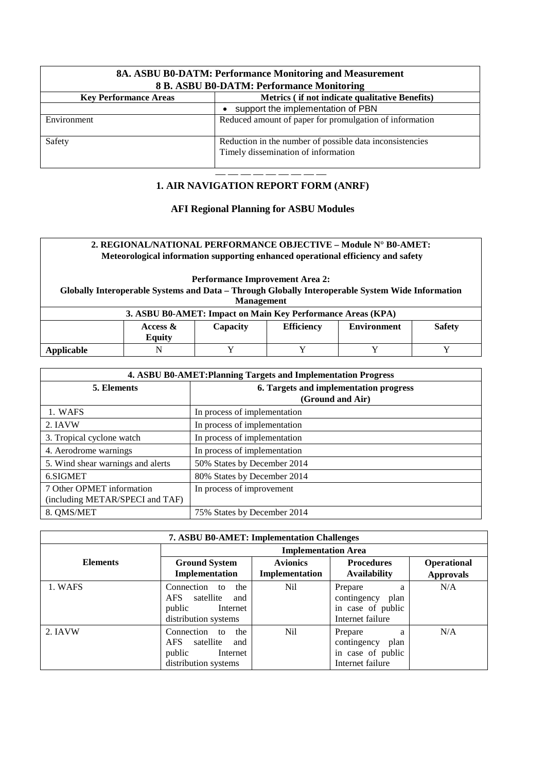| 8A. ASBU B0-DATM: Performance Monitoring and Measurement<br>8 B. ASBU B0-DATM: Performance Monitoring |                                                                                                 |  |  |
|-------------------------------------------------------------------------------------------------------|-------------------------------------------------------------------------------------------------|--|--|
| Metrics (if not indicate qualitative Benefits)<br><b>Key Performance Areas</b>                        |                                                                                                 |  |  |
|                                                                                                       | support the implementation of PBN                                                               |  |  |
| Environment                                                                                           | Reduced amount of paper for promulgation of information                                         |  |  |
| Safety                                                                                                | Reduction in the number of possible data inconsistencies<br>Timely dissemination of information |  |  |

#### — — — — — — — — — **1. AIR NAVIGATION REPORT FORM (ANRF)**

#### **AFI Regional Planning for ASBU Modules**

#### **2. REGIONAL/NATIONAL PERFORMANCE OBJECTIVE – Module N° B0-AMET: Meteorological information supporting enhanced operational efficiency and safety**

**Performance Improvement Area 2:**

**Globally Interoperable Systems and Data – Through Globally Interoperable System Wide Information Management**

| 3. ASBU B0-AMET: Impact on Main Key Performance Areas (KPA)                                       |  |  |  |  |  |
|---------------------------------------------------------------------------------------------------|--|--|--|--|--|
| <b>Efficiency</b><br><b>Safety</b><br><b>Capacity</b><br><b>Environment</b><br>Access &<br>Equity |  |  |  |  |  |
| Applicable                                                                                        |  |  |  |  |  |

| 4. ASBU B0-AMET: Planning Targets and Implementation Progress |                                        |  |  |
|---------------------------------------------------------------|----------------------------------------|--|--|
| 5. Elements                                                   | 6. Targets and implementation progress |  |  |
|                                                               | (Ground and Air)                       |  |  |
| 1. WAFS                                                       | In process of implementation           |  |  |
| 2. IAVW                                                       | In process of implementation           |  |  |
| 3. Tropical cyclone watch                                     | In process of implementation           |  |  |
| 4. Aerodrome warnings                                         | In process of implementation           |  |  |
| 5. Wind shear warnings and alerts                             | 50% States by December 2014            |  |  |
| 6.SIGMET                                                      | 80% States by December 2014            |  |  |
| 7 Other OPMET information                                     | In process of improvement              |  |  |
| (including METAR/SPECI and TAF)                               |                                        |  |  |
| 8. QMS/MET                                                    | 75% States by December 2014            |  |  |

| <b>7. ASBU B0-AMET: Implementation Challenges</b> |                                                                                                   |                                   |                                                                              |                                 |  |
|---------------------------------------------------|---------------------------------------------------------------------------------------------------|-----------------------------------|------------------------------------------------------------------------------|---------------------------------|--|
|                                                   | <b>Implementation Area</b>                                                                        |                                   |                                                                              |                                 |  |
| <b>Elements</b>                                   | <b>Ground System</b><br>Implementation                                                            | <b>Avionics</b><br>Implementation | <b>Procedures</b><br><b>Availability</b>                                     | Operational<br><b>Approvals</b> |  |
| 1. WAFS                                           | Connection<br>the<br>to<br>AFS.<br>satellite<br>and<br>public<br>Internet<br>distribution systems | Nil                               | Prepare<br>a<br>contingency<br>plan<br>in case of public<br>Internet failure | N/A                             |  |
| 2. IAVW                                           | Connection<br>the<br>to<br>AFS.<br>satellite<br>and<br>public<br>Internet<br>distribution systems | Nil                               | Prepare<br>a<br>contingency<br>plan<br>in case of public<br>Internet failure | N/A                             |  |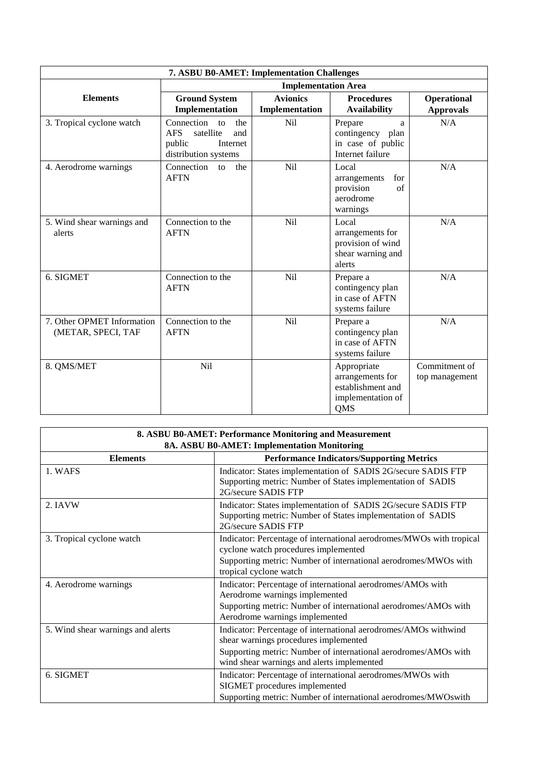| 7. ASBU B0-AMET: Implementation Challenges       |                                                                                                         |                                   |                                                                                  |                                 |
|--------------------------------------------------|---------------------------------------------------------------------------------------------------------|-----------------------------------|----------------------------------------------------------------------------------|---------------------------------|
|                                                  | <b>Implementation Area</b>                                                                              |                                   |                                                                                  |                                 |
| <b>Elements</b>                                  | <b>Ground System</b><br>Implementation                                                                  | <b>Avionics</b><br>Implementation | <b>Procedures</b><br><b>Availability</b>                                         | Operational<br><b>Approvals</b> |
| 3. Tropical cyclone watch                        | Connection<br>the<br>to<br><b>AFS</b><br>satellite<br>and<br>public<br>Internet<br>distribution systems | Nil                               | Prepare<br>a<br>contingency plan<br>in case of public<br>Internet failure        | N/A                             |
| 4. Aerodrome warnings                            | Connection<br>the<br>to<br><b>AFTN</b>                                                                  | <b>Nil</b>                        | Local<br>for<br>arrangements<br>provision<br>$\sigma$ f<br>aerodrome<br>warnings | N/A                             |
| 5. Wind shear warnings and<br>alerts             | Connection to the<br><b>AFTN</b>                                                                        | <b>Nil</b>                        | Local<br>arrangements for<br>provision of wind<br>shear warning and<br>alerts    | N/A                             |
| 6. SIGMET                                        | Connection to the<br><b>AFTN</b>                                                                        | <b>Nil</b>                        | Prepare a<br>contingency plan<br>in case of AFTN<br>systems failure              | N/A                             |
| 7. Other OPMET Information<br>(METAR, SPECI, TAF | Connection to the<br><b>AFTN</b>                                                                        | <b>Nil</b>                        | Prepare a<br>contingency plan<br>in case of AFTN<br>systems failure              | N/A                             |
| 8. QMS/MET                                       | N <sub>il</sub>                                                                                         |                                   | Appropriate<br>arrangements for<br>establishment and<br>implementation of<br>QMS | Commitment of<br>top management |

| 8. ASBU B0-AMET: Performance Monitoring and Measurement |                                                                                                                                                                                                                           |  |  |  |
|---------------------------------------------------------|---------------------------------------------------------------------------------------------------------------------------------------------------------------------------------------------------------------------------|--|--|--|
| <b>8A. ASBU B0-AMET: Implementation Monitoring</b>      |                                                                                                                                                                                                                           |  |  |  |
| <b>Elements</b>                                         | <b>Performance Indicators/Supporting Metrics</b>                                                                                                                                                                          |  |  |  |
| 1. WAFS                                                 | Indicator: States implementation of SADIS 2G/secure SADIS FTP<br>Supporting metric: Number of States implementation of SADIS<br>2G/secure SADIS FTP                                                                       |  |  |  |
| 2. IAVW                                                 | Indicator: States implementation of SADIS 2G/secure SADIS FTP<br>Supporting metric: Number of States implementation of SADIS<br>2G/secure SADIS FTP                                                                       |  |  |  |
| 3. Tropical cyclone watch                               | Indicator: Percentage of international aerodromes/MWOs with tropical<br>cyclone watch procedures implemented<br>Supporting metric: Number of international aerodromes/MWOs with<br>tropical cyclone watch                 |  |  |  |
| 4. Aerodrome warnings                                   | Indicator: Percentage of international aerodromes/AMOs with<br>Aerodrome warnings implemented<br>Supporting metric: Number of international aerodromes/AMOs with<br>Aerodrome warnings implemented                        |  |  |  |
| 5. Wind shear warnings and alerts                       | Indicator: Percentage of international aerodromes/AMOs withwind<br>shear warnings procedures implemented<br>Supporting metric: Number of international aerodromes/AMOs with<br>wind shear warnings and alerts implemented |  |  |  |
| 6. SIGMET                                               | Indicator: Percentage of international aerodromes/MWOs with<br>SIGMET procedures implemented<br>Supporting metric: Number of international aerodromes/MWOswith                                                            |  |  |  |